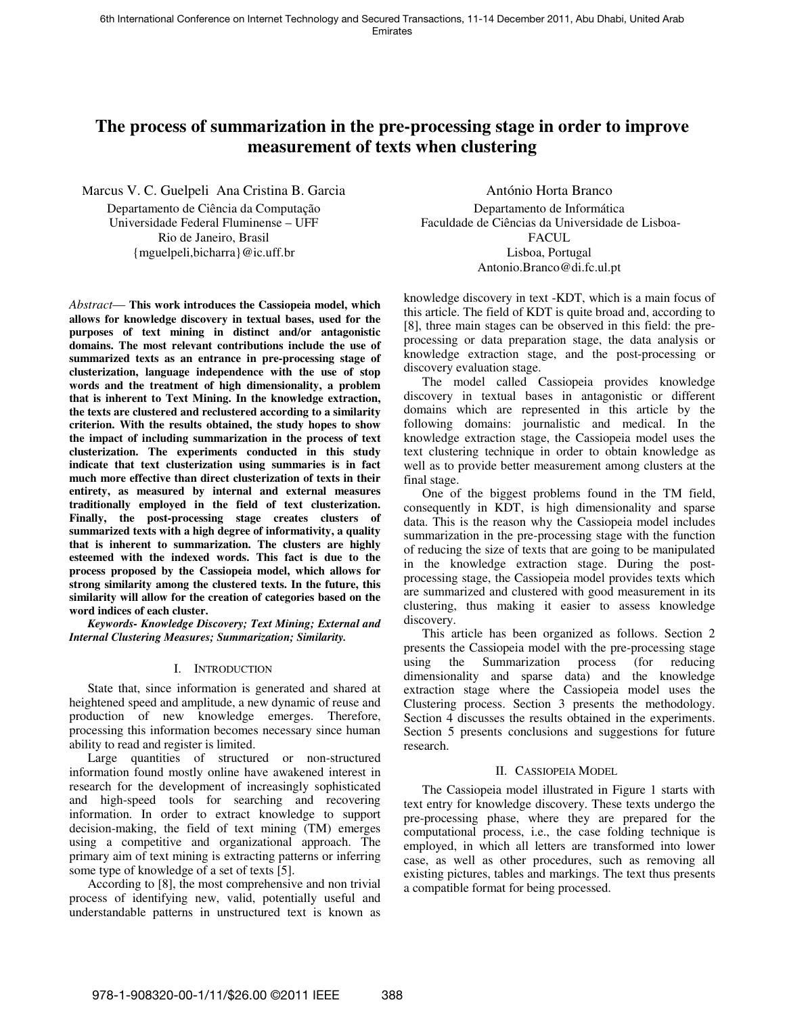# **The process of summarization in the pre-processing stage in order to improve measurement of texts when clustering**

Marcus V. C. Guelpeli Ana Cristina B. Garcia Departamento de Ciência da Computação Universidade Federal Fluminense – UFF Rio de Janeiro, Brasil {mguelpeli,bicharra}@ic.uff.br

*Abstract*— **This work introduces the Cassiopeia model, which allows for knowledge discovery in textual bases, used for the purposes of text mining in distinct and/or antagonistic domains. The most relevant contributions include the use of summarized texts as an entrance in pre-processing stage of clusterization, language independence with the use of stop words and the treatment of high dimensionality, a problem that is inherent to Text Mining. In the knowledge extraction, the texts are clustered and reclustered according to a similarity criterion. With the results obtained, the study hopes to show the impact of including summarization in the process of text clusterization. The experiments conducted in this study indicate that text clusterization using summaries is in fact much more effective than direct clusterization of texts in their entirety, as measured by internal and external measures traditionally employed in the field of text clusterization. Finally, the post-processing stage creates clusters of summarized texts with a high degree of informativity, a quality that is inherent to summarization. The clusters are highly esteemed with the indexed words. This fact is due to the process proposed by the Cassiopeia model, which allows for strong similarity among the clustered texts. In the future, this similarity will allow for the creation of categories based on the word indices of each cluster.** 

*Keywords- Knowledge Discovery; Text Mining; External and Internal Clustering Measures; Summarization; Similarity.* 

## I. INTRODUCTION

State that, since information is generated and shared at heightened speed and amplitude, a new dynamic of reuse and production of new knowledge emerges. Therefore, processing this information becomes necessary since human ability to read and register is limited.

Large quantities of structured or non-structured information found mostly online have awakened interest in research for the development of increasingly sophisticated and high-speed tools for searching and recovering information. In order to extract knowledge to support decision-making, the field of text mining (TM) emerges using a competitive and organizational approach. The primary aim of text mining is extracting patterns or inferring some type of knowledge of a set of texts [5].

According to [8], the most comprehensive and non trivial process of identifying new, valid, potentially useful and understandable patterns in unstructured text is known as

António Horta Branco Departamento de Informática Faculdade de Ciências da Universidade de Lisboa-FACUL. Lisboa, Portugal Antonio.Branco@di.fc.ul.pt

knowledge discovery in text -KDT, which is a main focus of this article. The field of KDT is quite broad and, according to [8], three main stages can be observed in this field: the preprocessing or data preparation stage, the data analysis or knowledge extraction stage, and the post-processing or discovery evaluation stage.

The model called Cassiopeia provides knowledge discovery in textual bases in antagonistic or different domains which are represented in this article by the following domains: journalistic and medical. In the knowledge extraction stage, the Cassiopeia model uses the text clustering technique in order to obtain knowledge as well as to provide better measurement among clusters at the final stage.

One of the biggest problems found in the TM field, consequently in KDT, is high dimensionality and sparse data. This is the reason why the Cassiopeia model includes summarization in the pre-processing stage with the function of reducing the size of texts that are going to be manipulated in the knowledge extraction stage. During the postprocessing stage, the Cassiopeia model provides texts which are summarized and clustered with good measurement in its clustering, thus making it easier to assess knowledge discovery.

This article has been organized as follows. Section 2 presents the Cassiopeia model with the pre-processing stage using the Summarization process (for reducing dimensionality and sparse data) and the knowledge extraction stage where the Cassiopeia model uses the Clustering process. Section 3 presents the methodology. Section 4 discusses the results obtained in the experiments. Section 5 presents conclusions and suggestions for future research.

## II. CASSIOPEIA MODEL

The Cassiopeia model illustrated in Figure 1 starts with text entry for knowledge discovery. These texts undergo the pre-processing phase, where they are prepared for the computational process, i.e., the case folding technique is employed, in which all letters are transformed into lower case, as well as other procedures, such as removing all existing pictures, tables and markings. The text thus presents a compatible format for being processed.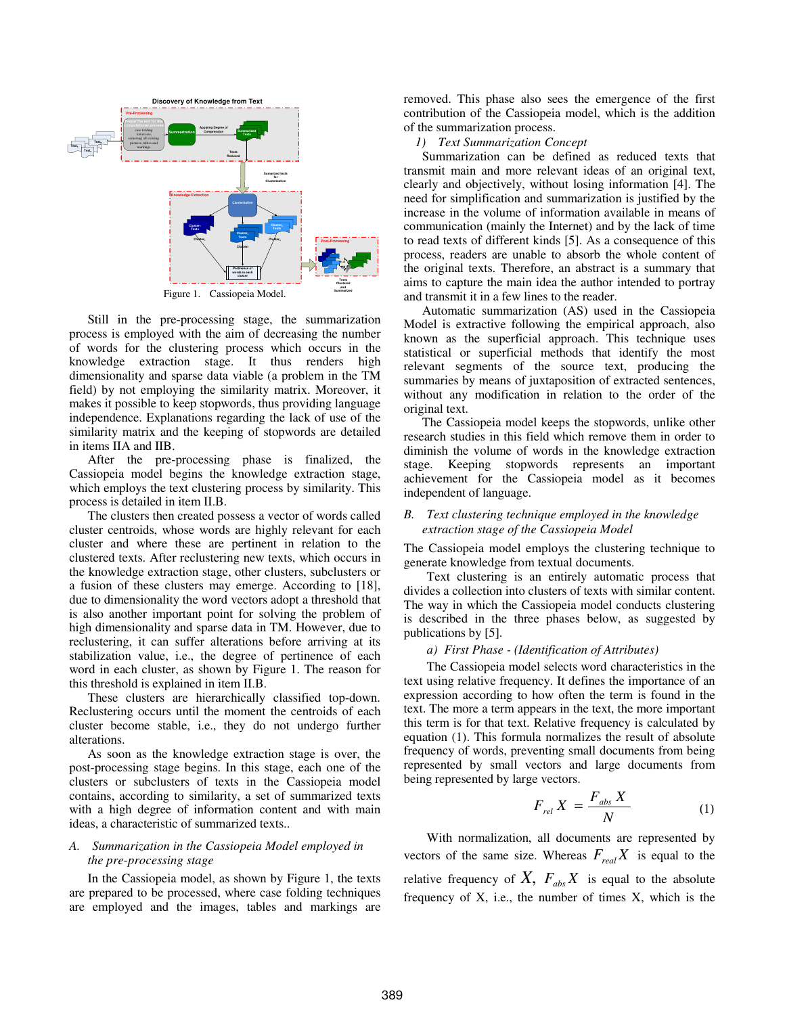

Figure 1. Cassiopeia Model.

Still in the pre-processing stage, the summarization process is employed with the aim of decreasing the number of words for the clustering process which occurs in the knowledge extraction stage. It thus renders high dimensionality and sparse data viable (a problem in the TM field) by not employing the similarity matrix. Moreover, it makes it possible to keep stopwords, thus providing language independence. Explanations regarding the lack of use of the similarity matrix and the keeping of stopwords are detailed in items IIA and IIB.

After the pre-processing phase is finalized, the Cassiopeia model begins the knowledge extraction stage, which employs the text clustering process by similarity. This process is detailed in item II.B.

The clusters then created possess a vector of words called cluster centroids, whose words are highly relevant for each cluster and where these are pertinent in relation to the clustered texts. After reclustering new texts, which occurs in the knowledge extraction stage, other clusters, subclusters or a fusion of these clusters may emerge. According to [18], due to dimensionality the word vectors adopt a threshold that is also another important point for solving the problem of high dimensionality and sparse data in TM. However, due to reclustering, it can suffer alterations before arriving at its stabilization value, i.e., the degree of pertinence of each word in each cluster, as shown by Figure 1. The reason for this threshold is explained in item II.B.

These clusters are hierarchically classified top-down. Reclustering occurs until the moment the centroids of each cluster become stable, i.e., they do not undergo further alterations.

As soon as the knowledge extraction stage is over, the post-processing stage begins. In this stage, each one of the clusters or subclusters of texts in the Cassiopeia model contains, according to similarity, a set of summarized texts with a high degree of information content and with main ideas, a characteristic of summarized texts..

# *A. Summarization in the Cassiopeia Model employed in the pre-processing stage*

In the Cassiopeia model, as shown by Figure 1, the texts are prepared to be processed, where case folding techniques are employed and the images, tables and markings are removed. This phase also sees the emergence of the first contribution of the Cassiopeia model, which is the addition of the summarization process.

*1) Text Summarization Concept* 

Summarization can be defined as reduced texts that transmit main and more relevant ideas of an original text, clearly and objectively, without losing information [4]. The need for simplification and summarization is justified by the increase in the volume of information available in means of communication (mainly the Internet) and by the lack of time to read texts of different kinds [5]. As a consequence of this process, readers are unable to absorb the whole content of the original texts. Therefore, an abstract is a summary that aims to capture the main idea the author intended to portray and transmit it in a few lines to the reader.

Automatic summarization (AS) used in the Cassiopeia Model is extractive following the empirical approach, also known as the superficial approach. This technique uses statistical or superficial methods that identify the most relevant segments of the source text, producing the summaries by means of juxtaposition of extracted sentences, without any modification in relation to the order of the original text.

The Cassiopeia model keeps the stopwords, unlike other research studies in this field which remove them in order to diminish the volume of words in the knowledge extraction stage. Keeping stopwords represents an important achievement for the Cassiopeia model as it becomes independent of language.

## *B. Text clustering technique employed in the knowledge extraction stage of the Cassiopeia Model*

The Cassiopeia model employs the clustering technique to generate knowledge from textual documents.

Text clustering is an entirely automatic process that divides a collection into clusters of texts with similar content. The way in which the Cassiopeia model conducts clustering is described in the three phases below, as suggested by publications by [5].

## *a) First Phase - (Identification of Attributes)*

The Cassiopeia model selects word characteristics in the text using relative frequency. It defines the importance of an expression according to how often the term is found in the text. The more a term appears in the text, the more important this term is for that text. Relative frequency is calculated by equation (1). This formula normalizes the result of absolute frequency of words, preventing small documents from being represented by small vectors and large documents from being represented by large vectors.

$$
F_{rel} X = \frac{F_{abs} X}{N}
$$
 (1)

With normalization, all documents are represented by vectors of the same size. Whereas  $F_{real}X$  is equal to the relative frequency of  $X$ ,  $F_{abs} X$  is equal to the absolute frequency of  $X$ , i.e., the number of times  $X$ , which is the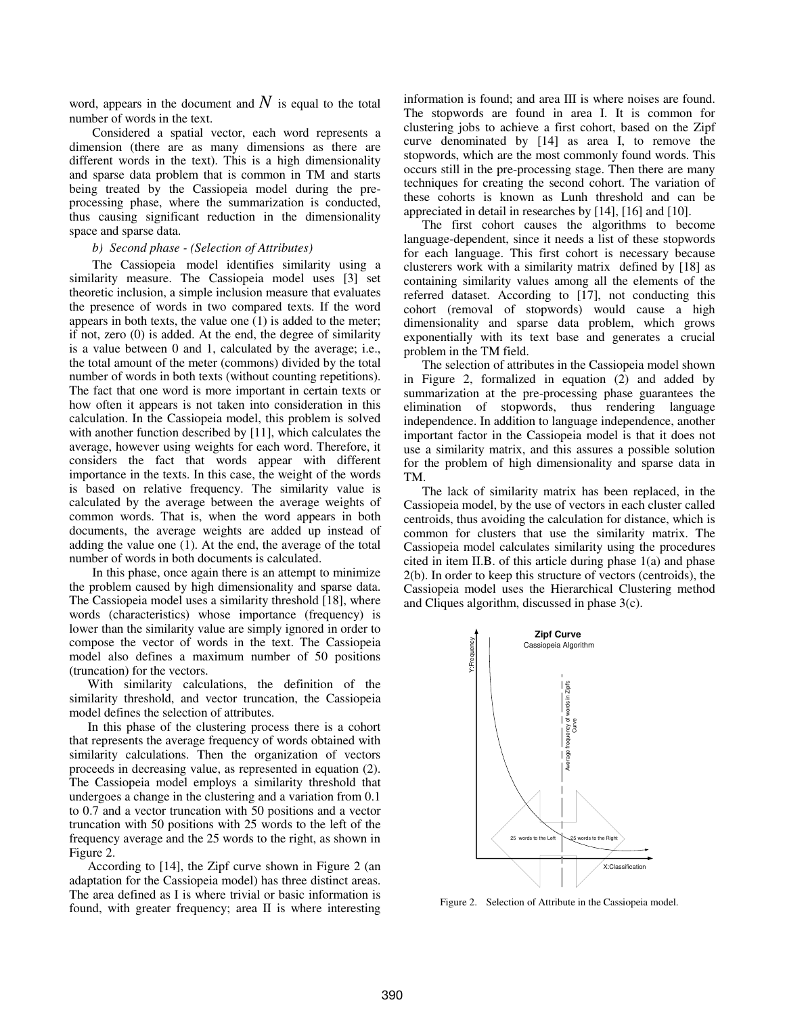word, appears in the document and  $N$  is equal to the total number of words in the text.

Considered a spatial vector, each word represents a dimension (there are as many dimensions as there are different words in the text). This is a high dimensionality and sparse data problem that is common in TM and starts being treated by the Cassiopeia model during the preprocessing phase, where the summarization is conducted, thus causing significant reduction in the dimensionality space and sparse data.

## *b) Second phase - (Selection of Attributes)*

The Cassiopeia model identifies similarity using a similarity measure. The Cassiopeia model uses [3] set theoretic inclusion, a simple inclusion measure that evaluates the presence of words in two compared texts. If the word appears in both texts, the value one (1) is added to the meter; if not, zero (0) is added. At the end, the degree of similarity is a value between 0 and 1, calculated by the average; i.e., the total amount of the meter (commons) divided by the total number of words in both texts (without counting repetitions). The fact that one word is more important in certain texts or how often it appears is not taken into consideration in this calculation. In the Cassiopeia model, this problem is solved with another function described by [11], which calculates the average, however using weights for each word. Therefore, it considers the fact that words appear with different importance in the texts. In this case, the weight of the words is based on relative frequency. The similarity value is calculated by the average between the average weights of common words. That is, when the word appears in both documents, the average weights are added up instead of adding the value one (1). At the end, the average of the total number of words in both documents is calculated.

In this phase, once again there is an attempt to minimize the problem caused by high dimensionality and sparse data. The Cassiopeia model uses a similarity threshold [18], where words (characteristics) whose importance (frequency) is lower than the similarity value are simply ignored in order to compose the vector of words in the text. The Cassiopeia model also defines a maximum number of 50 positions (truncation) for the vectors.

With similarity calculations, the definition of the similarity threshold, and vector truncation, the Cassiopeia model defines the selection of attributes.

In this phase of the clustering process there is a cohort that represents the average frequency of words obtained with similarity calculations. Then the organization of vectors proceeds in decreasing value, as represented in equation (2). The Cassiopeia model employs a similarity threshold that undergoes a change in the clustering and a variation from 0.1 to 0.7 and a vector truncation with 50 positions and a vector truncation with 50 positions with 25 words to the left of the frequency average and the 25 words to the right, as shown in Figure 2.

According to [14], the Zipf curve shown in Figure 2 (an adaptation for the Cassiopeia model) has three distinct areas. The area defined as I is where trivial or basic information is found, with greater frequency; area II is where interesting information is found; and area III is where noises are found. The stopwords are found in area I. It is common for clustering jobs to achieve a first cohort, based on the Zipf curve denominated by [14] as area I, to remove the stopwords, which are the most commonly found words. This occurs still in the pre-processing stage. Then there are many techniques for creating the second cohort. The variation of these cohorts is known as Lunh threshold and can be appreciated in detail in researches by [14], [16] and [10].

The first cohort causes the algorithms to become language-dependent, since it needs a list of these stopwords for each language. This first cohort is necessary because clusterers work with a similarity matrix defined by [18] as containing similarity values among all the elements of the referred dataset. According to [17], not conducting this cohort (removal of stopwords) would cause a high dimensionality and sparse data problem, which grows exponentially with its text base and generates a crucial problem in the TM field.

The selection of attributes in the Cassiopeia model shown in Figure 2, formalized in equation (2) and added by summarization at the pre-processing phase guarantees the elimination of stopwords, thus rendering language independence. In addition to language independence, another important factor in the Cassiopeia model is that it does not use a similarity matrix, and this assures a possible solution for the problem of high dimensionality and sparse data in TM.

The lack of similarity matrix has been replaced, in the Cassiopeia model, by the use of vectors in each cluster called centroids, thus avoiding the calculation for distance, which is common for clusters that use the similarity matrix. The Cassiopeia model calculates similarity using the procedures cited in item II.B. of this article during phase 1(a) and phase 2(b). In order to keep this structure of vectors (centroids), the Cassiopeia model uses the Hierarchical Clustering method and Cliques algorithm, discussed in phase 3(c).



Figure 2. Selection of Attribute in the Cassiopeia model.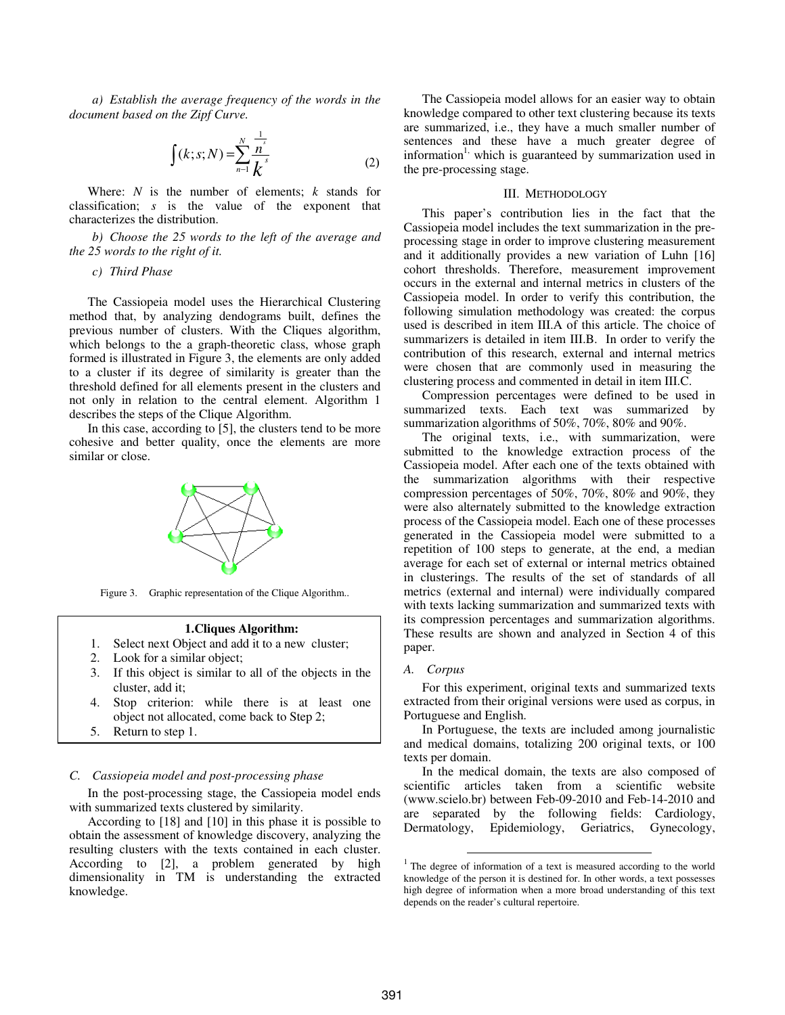*a) Establish the average frequency of the words in the document based on the Zipf Curve.* 

$$
\int (k; s; N) = \sum_{n=1}^{N} \frac{\frac{1}{n^{s}}}{k^{s}}
$$
 (2)

Where: *N* is the number of elements; *k* stands for classification; *s* is the value of the exponent that characterizes the distribution.

*b) Choose the 25 words to the left of the average and the 25 words to the right of it.* 

*c) Third Phase* 

The Cassiopeia model uses the Hierarchical Clustering method that, by analyzing dendograms built, defines the previous number of clusters. With the Cliques algorithm, which belongs to the a graph-theoretic class, whose graph formed is illustrated in Figure 3, the elements are only added to a cluster if its degree of similarity is greater than the threshold defined for all elements present in the clusters and not only in relation to the central element. Algorithm 1 describes the steps of the Clique Algorithm.

In this case, according to [5], the clusters tend to be more cohesive and better quality, once the elements are more similar or close.



Figure 3. Graphic representation of the Clique Algorithm..

#### **1.Cliques Algorithm:**

- 1. Select next Object and add it to a new cluster;
- 2. Look for a similar object;
- 3. If this object is similar to all of the objects in the cluster, add it;
- 4. Stop criterion: while there is at least one object not allocated, come back to Step 2;
- 5. Return to step 1.

## *C. Cassiopeia model and post-processing phase*

In the post-processing stage, the Cassiopeia model ends with summarized texts clustered by similarity.

According to [18] and [10] in this phase it is possible to obtain the assessment of knowledge discovery, analyzing the resulting clusters with the texts contained in each cluster. According to [2], a problem generated by high dimensionality in TM is understanding the extracted knowledge.

The Cassiopeia model allows for an easier way to obtain knowledge compared to other text clustering because its texts are summarized, i.e., they have a much smaller number of sentences and these have a much greater degree of information<sup>1</sup>, which is guaranteed by summarization used in the pre-processing stage.

## III. METHODOLOGY

This paper's contribution lies in the fact that the Cassiopeia model includes the text summarization in the preprocessing stage in order to improve clustering measurement and it additionally provides a new variation of Luhn [16] cohort thresholds. Therefore, measurement improvement occurs in the external and internal metrics in clusters of the Cassiopeia model. In order to verify this contribution, the following simulation methodology was created: the corpus used is described in item III.A of this article. The choice of summarizers is detailed in item III.B. In order to verify the contribution of this research, external and internal metrics were chosen that are commonly used in measuring the clustering process and commented in detail in item III.C.

Compression percentages were defined to be used in summarized texts. Each text was summarized by summarization algorithms of 50%, 70%, 80% and 90%.

The original texts, i.e., with summarization, were submitted to the knowledge extraction process of the Cassiopeia model. After each one of the texts obtained with the summarization algorithms with their respective compression percentages of 50%, 70%, 80% and 90%, they were also alternately submitted to the knowledge extraction process of the Cassiopeia model. Each one of these processes generated in the Cassiopeia model were submitted to a repetition of 100 steps to generate, at the end, a median average for each set of external or internal metrics obtained in clusterings. The results of the set of standards of all metrics (external and internal) were individually compared with texts lacking summarization and summarized texts with its compression percentages and summarization algorithms. These results are shown and analyzed in Section 4 of this paper.

### *A. Corpus*

1

For this experiment, original texts and summarized texts extracted from their original versions were used as corpus, in Portuguese and English.

In Portuguese, the texts are included among journalistic and medical domains, totalizing 200 original texts, or 100 texts per domain.

In the medical domain, the texts are also composed of scientific articles taken from a scientific website (www.scielo.br) between Feb-09-2010 and Feb-14-2010 and are separated by the following fields: Cardiology, Dermatology, Epidemiology, Geriatrics, Gynecology,

<sup>&</sup>lt;sup>1</sup> The degree of information of a text is measured according to the world knowledge of the person it is destined for. In other words, a text possesses high degree of information when a more broad understanding of this text depends on the reader's cultural repertoire.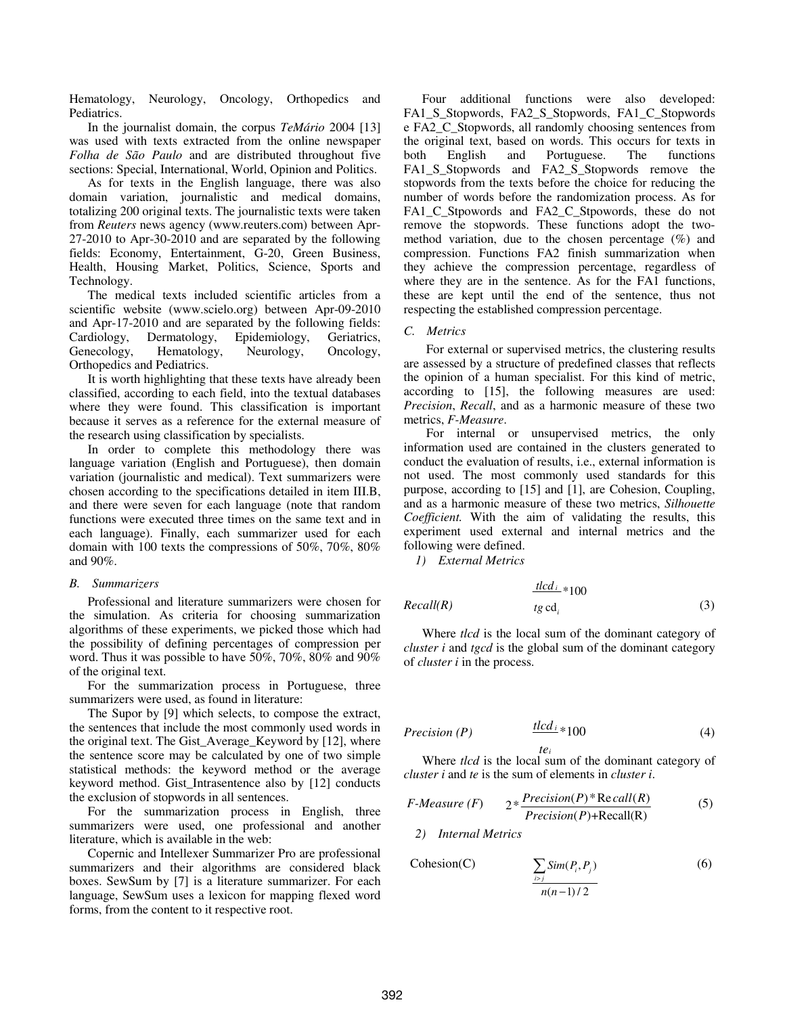Hematology, Neurology, Oncology, Orthopedics and Pediatrics.

In the journalist domain, the corpus *TeMário* 2004 [13] was used with texts extracted from the online newspaper *Folha de São Paulo* and are distributed throughout five sections: Special, International, World, Opinion and Politics.

As for texts in the English language, there was also domain variation, journalistic and medical domains, totalizing 200 original texts. The journalistic texts were taken from *Reuters* news agency (www.reuters.com) between Apr-27-2010 to Apr-30-2010 and are separated by the following fields: Economy, Entertainment, G-20, Green Business, Health, Housing Market, Politics, Science, Sports and Technology.

The medical texts included scientific articles from a scientific website (www.scielo.org) between Apr-09-2010 and Apr-17-2010 and are separated by the following fields: Cardiology, Dermatology, Epidemiology, Geriatrics, Genecology, Hematology, Neurology, Oncology, Orthopedics and Pediatrics.

It is worth highlighting that these texts have already been classified, according to each field, into the textual databases where they were found. This classification is important because it serves as a reference for the external measure of the research using classification by specialists.

In order to complete this methodology there was language variation (English and Portuguese), then domain variation (journalistic and medical). Text summarizers were chosen according to the specifications detailed in item III.B, and there were seven for each language (note that random functions were executed three times on the same text and in each language). Finally, each summarizer used for each domain with 100 texts the compressions of 50%, 70%, 80% and 90%.

## *B. Summarizers*

Professional and literature summarizers were chosen for the simulation. As criteria for choosing summarization algorithms of these experiments, we picked those which had the possibility of defining percentages of compression per word. Thus it was possible to have 50%, 70%, 80% and 90% of the original text.

For the summarization process in Portuguese, three summarizers were used, as found in literature:

The Supor by [9] which selects, to compose the extract, the sentences that include the most commonly used words in the original text. The Gist\_Average\_Keyword by [12], where the sentence score may be calculated by one of two simple statistical methods: the keyword method or the average keyword method. Gist\_Intrasentence also by [12] conducts the exclusion of stopwords in all sentences.

For the summarization process in English, three summarizers were used, one professional and another literature, which is available in the web:

Copernic and Intellexer Summarizer Pro are professional summarizers and their algorithms are considered black boxes. SewSum by [7] is a literature summarizer. For each language, SewSum uses a lexicon for mapping flexed word forms, from the content to it respective root.

Four additional functions were also developed: FA1\_S\_Stopwords, FA2\_S\_Stopwords, FA1\_C\_Stopwords e FA2\_C\_Stopwords, all randomly choosing sentences from the original text, based on words. This occurs for texts in both English and Portuguese. The functions FA1\_S\_Stopwords and FA2\_S\_Stopwords remove the stopwords from the texts before the choice for reducing the number of words before the randomization process. As for FA1\_C\_Stpowords and FA2\_C\_Stpowords, these do not remove the stopwords. These functions adopt the twomethod variation, due to the chosen percentage (%) and compression. Functions FA2 finish summarization when they achieve the compression percentage, regardless of where they are in the sentence. As for the FA1 functions, these are kept until the end of the sentence, thus not respecting the established compression percentage.

## *C. Metrics*

For external or supervised metrics, the clustering results are assessed by a structure of predefined classes that reflects the opinion of a human specialist. For this kind of metric, according to [15], the following measures are used: *Precision*, *Recall*, and as a harmonic measure of these two metrics, *F-Measure*.

For internal or unsupervised metrics, the only information used are contained in the clusters generated to conduct the evaluation of results, i.e., external information is not used. The most commonly used standards for this purpose, according to [15] and [1], are Cohesion, Coupling, and as a harmonic measure of these two metrics, *Silhouette Coefficient.* With the aim of validating the results, this experiment used external and internal metrics and the following were defined.

*1) External Metrics* 

$$
\frac{t!cd_i*100}{te \cdot cd_i}*(10)
$$
 (3)

Where *tlcd* is the local sum of the dominant category of *cluster i* and *tgcd* is the global sum of the dominant category of *cluster i* in the process.

$$
Precision(P) \qquad \qquad \frac{tlcd_i}{100} * 100 \tag{4}
$$

*i te* Where *tlcd* is the local sum of the dominant category of *cluster i* and *te* is the sum of elements in *cluster i*.

$$
F\text{-}Measure (F) \qquad 2*\frac{Precision(P)*Recall(R)}{Precision(P)+Recall(R)}\tag{5}
$$

*2) Internal Metrics* 

$$
\text{Cohesion}(C) \qquad \qquad \sum_{i>j} \text{Sim}(P_i, P_j) \tag{6}
$$
\n
$$
\frac{n(n-1)/2}{}
$$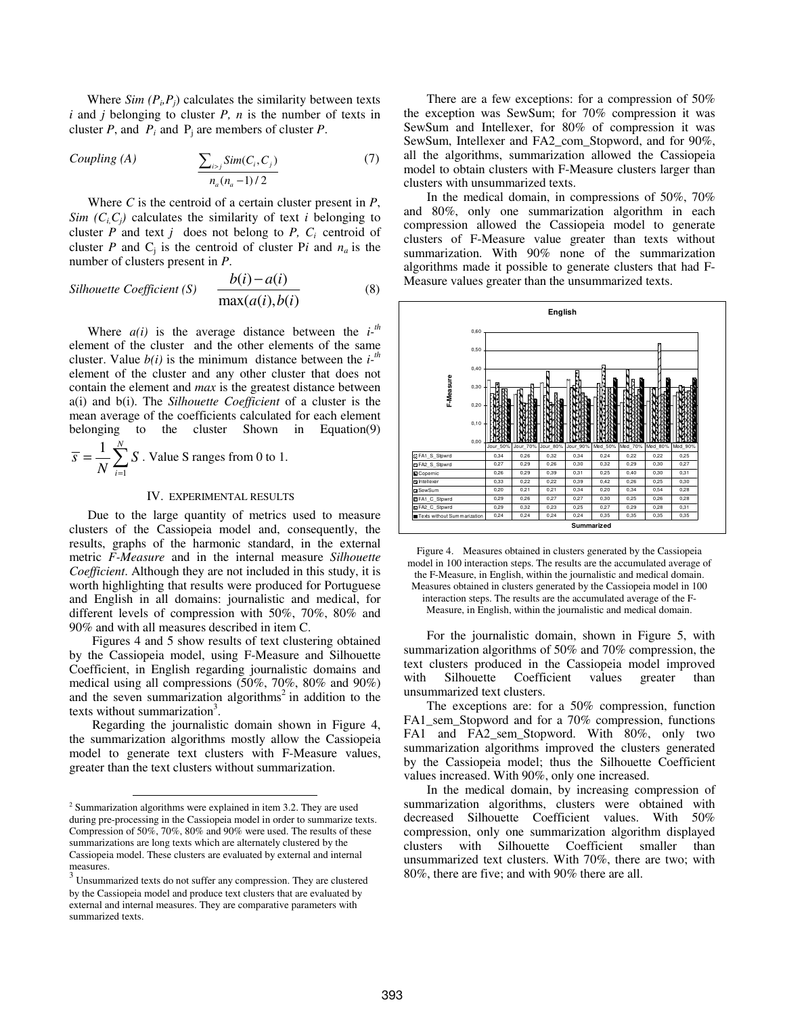Where  $Sim(P_i, P_j)$  calculates the similarity between texts *i* and *j* belonging to cluster *P, n* is the number of texts in cluster *P*, and  $P_i$  and  $P_j$  are members of cluster *P*.

*Coupling (A)*  $\qquad \qquad \sum_{i} Sim(C_i, C_i)$  (7)  $(n_a - 1)/2$  $\sum_{i > j}$   $\sum_{i=1}^{n}$  $a^{v_i}$  $Sim(C_i, C_j)$ *n n* > − ∑

Where *C* is the centroid of a certain cluster present in *P*, *Sim*  $(C_i, C_j)$  calculates the similarity of text *i* belonging to cluster *P* and text *j* does not belong to *P*,  $C_i$  centroid of cluster *P* and  $C_j$  is the centroid of cluster *Pi* and  $n_a$  is the number of clusters present in *P*.

$$
Silhouette Coefficient (S) \quad \frac{b(i) - a(i)}{\max(a(i), b(i)}
$$
(8)

Where  $a(i)$  is the average distance between the  $i^{-th}$ element of the cluster and the other elements of the same cluster. Value  $b(i)$  is the minimum distance between the  $i$ <sup>-*th*</sup> element of the cluster and any other cluster that does not contain the element and *max* is the greatest distance between a(i) and b(i). The *Silhouette Coefficient* of a cluster is the mean average of the coefficients calculated for each element belonging to the cluster Shown in Equation(9) 1

$$
\overline{s} = \frac{1}{N} \sum_{i=1}^{N} S
$$
. Value S ranges from 0 to 1.

## IV. EXPERIMENTAL RESULTS

Due to the large quantity of metrics used to measure clusters of the Cassiopeia model and, consequently, the results, graphs of the harmonic standard, in the external metric *F-Measure* and in the internal measure *Silhouette Coefficient*. Although they are not included in this study, it is worth highlighting that results were produced for Portuguese and English in all domains: journalistic and medical, for different levels of compression with 50%, 70%, 80% and 90% and with all measures described in item C.

Figures 4 and 5 show results of text clustering obtained by the Cassiopeia model, using F-Measure and Silhouette Coefficient, in English regarding journalistic domains and medical using all compressions (50%, 70%, 80% and 90%) and the seven summarization algorithms<sup>2</sup> in addition to the texts without summarization<sup>3</sup>.

Regarding the journalistic domain shown in Figure 4, the summarization algorithms mostly allow the Cassiopeia model to generate text clusters with F-Measure values, greater than the text clusters without summarization.

l

There are a few exceptions: for a compression of 50% the exception was SewSum; for 70% compression it was SewSum and Intellexer, for 80% of compression it was SewSum, Intellexer and FA2\_com\_Stopword, and for 90%, all the algorithms, summarization allowed the Cassiopeia model to obtain clusters with F-Measure clusters larger than clusters with unsummarized texts.

In the medical domain, in compressions of 50%, 70% and 80%, only one summarization algorithm in each compression allowed the Cassiopeia model to generate clusters of F-Measure value greater than texts without summarization. With 90% none of the summarization algorithms made it possible to generate clusters that had F-Measure values greater than the unsummarized texts.



Figure 4. Measures obtained in clusters generated by the Cassiopeia model in 100 interaction steps. The results are the accumulated average of the F-Measure, in English, within the journalistic and medical domain. Measures obtained in clusters generated by the Cassiopeia model in 100 interaction steps. The results are the accumulated average of the F-Measure, in English, within the journalistic and medical domain.

For the journalistic domain, shown in Figure 5, with summarization algorithms of 50% and 70% compression, the text clusters produced in the Cassiopeia model improved with Silhouette Coefficient values greater than unsummarized text clusters.

The exceptions are: for a 50% compression, function FA1\_sem\_Stopword and for a 70% compression, functions FA1 and FA2 sem Stopword. With 80%, only two summarization algorithms improved the clusters generated by the Cassiopeia model; thus the Silhouette Coefficient values increased. With 90%, only one increased.

In the medical domain, by increasing compression of summarization algorithms, clusters were obtained with decreased Silhouette Coefficient values. With 50% compression, only one summarization algorithm displayed clusters with Silhouette Coefficient smaller than unsummarized text clusters. With 70%, there are two; with 80%, there are five; and with 90% there are all.

 $2$  Summarization algorithms were explained in item 3.2. They are used during pre-processing in the Cassiopeia model in order to summarize texts. Compression of 50%, 70%, 80% and 90% were used. The results of these summarizations are long texts which are alternately clustered by the Cassiopeia model. These clusters are evaluated by external and internal measures.

<sup>3</sup> Unsummarized texts do not suffer any compression. They are clustered by the Cassiopeia model and produce text clusters that are evaluated by external and internal measures. They are comparative parameters with summarized texts.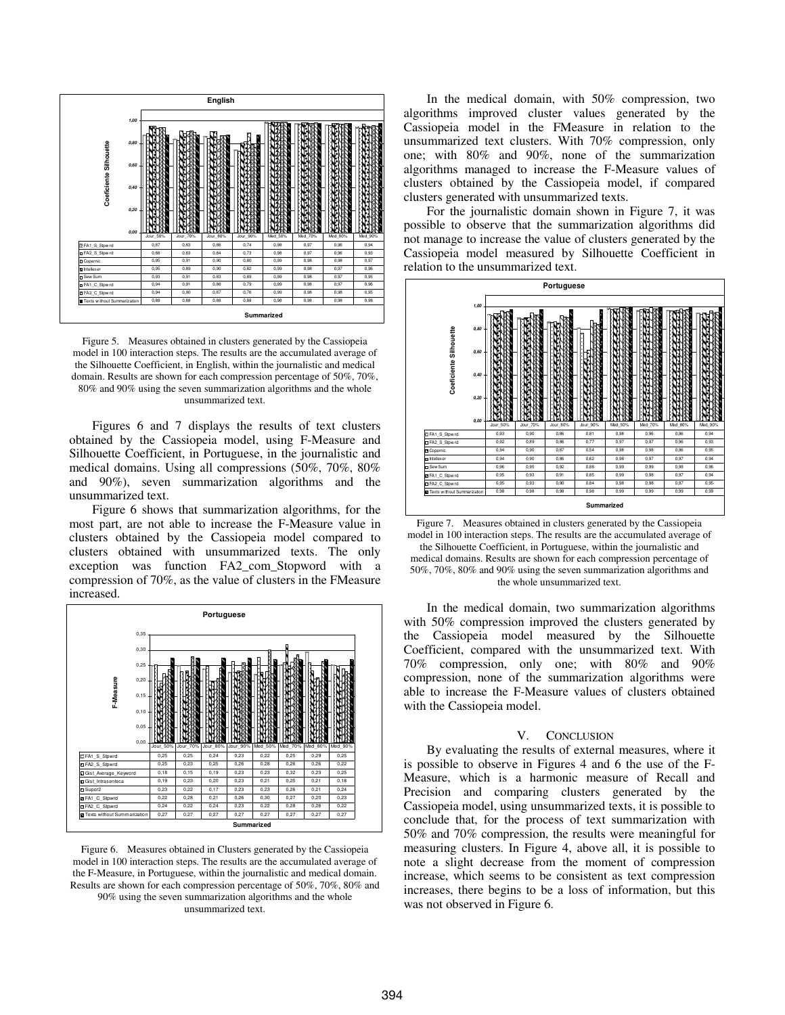

Figure 5. Measures obtained in clusters generated by the Cassiopeia model in 100 interaction steps. The results are the accumulated average of the Silhouette Coefficient, in English, within the journalistic and medical domain. Results are shown for each compression percentage of 50%, 70%, 80% and 90% using the seven summarization algorithms and the whole unsummarized text.

Figures 6 and 7 displays the results of text clusters obtained by the Cassiopeia model, using F-Measure and Silhouette Coefficient, in Portuguese, in the journalistic and medical domains. Using all compressions (50%, 70%, 80% and 90%), seven summarization algorithms and the unsummarized text.

Figure 6 shows that summarization algorithms, for the most part, are not able to increase the F-Measure value in clusters obtained by the Cassiopeia model compared to clusters obtained with unsummarized texts. The only exception was function FA2\_com\_Stopword with a compression of 70%, as the value of clusters in the FMeasure increased.



Figure 6. Measures obtained in Clusters generated by the Cassiopeia model in 100 interaction steps. The results are the accumulated average of the F-Measure, in Portuguese, within the journalistic and medical domain. Results are shown for each compression percentage of 50%, 70%, 80% and 90% using the seven summarization algorithms and the whole unsummarized text.

In the medical domain, with 50% compression, two algorithms improved cluster values generated by the Cassiopeia model in the FMeasure in relation to the unsummarized text clusters. With 70% compression, only one; with 80% and 90%, none of the summarization algorithms managed to increase the F-Measure values of clusters obtained by the Cassiopeia model, if compared clusters generated with unsummarized texts.

For the journalistic domain shown in Figure 7, it was possible to observe that the summarization algorithms did not manage to increase the value of clusters generated by the Cassiopeia model measured by Silhouette Coefficient in relation to the unsummarized text.



Figure 7. Measures obtained in clusters generated by the Cassiopeia model in 100 interaction steps. The results are the accumulated average of the Silhouette Coefficient, in Portuguese, within the journalistic and medical domains. Results are shown for each compression percentage of 50%, 70%, 80% and 90% using the seven summarization algorithms and the whole unsummarized text.

In the medical domain, two summarization algorithms with 50% compression improved the clusters generated by the Cassiopeia model measured by the Silhouette Coefficient, compared with the unsummarized text. With 70% compression, only one; with 80% and 90% compression, none of the summarization algorithms were able to increase the F-Measure values of clusters obtained with the Cassiopeia model.

## V. CONCLUSION

By evaluating the results of external measures, where it is possible to observe in Figures 4 and 6 the use of the F-Measure, which is a harmonic measure of Recall and Precision and comparing clusters generated by the Cassiopeia model, using unsummarized texts, it is possible to conclude that, for the process of text summarization with 50% and 70% compression, the results were meaningful for measuring clusters. In Figure 4, above all, it is possible to note a slight decrease from the moment of compression increase, which seems to be consistent as text compression increases, there begins to be a loss of information, but this was not observed in Figure 6.